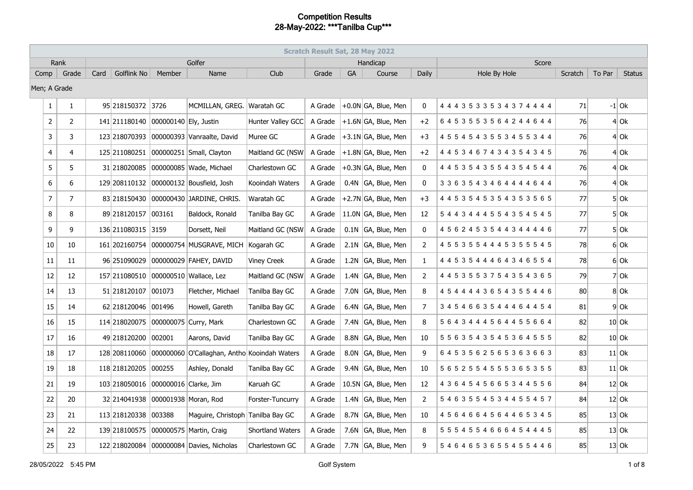|              | <b>Scratch Result Sat, 28 May 2022</b> |      |                     |                       |                                              |                    |         |           |                                    |              |                                 |                 |        |               |
|--------------|----------------------------------------|------|---------------------|-----------------------|----------------------------------------------|--------------------|---------|-----------|------------------------------------|--------------|---------------------------------|-----------------|--------|---------------|
|              | Rank                                   |      |                     |                       | Golfer                                       |                    |         |           | Handicap                           |              | Score                           |                 |        |               |
| $Comp \mid$  | Grade                                  | Card | Golflink No         | Member                | Name                                         | Club               | Grade   | <b>GA</b> | Course                             | Daily        | Hole By Hole                    | Scratch         | To Par | <b>Status</b> |
| Men; A Grade |                                        |      |                     |                       |                                              |                    |         |           |                                    |              |                                 |                 |        |               |
| $\mathbf{1}$ | $\mathbf{1}$                           |      | 95 218150372 3726   |                       | MCMILLAN, GREG. Waratah GC                   |                    | A Grade |           | $+0.0N$ GA, Blue, Men              | $\Omega$     | 4 4 4 3 5 3 3 5 3 4 3 7 4 4 4 4 | 71              |        | $-1$ Ok       |
| 2            | $\overline{2}$                         |      | 141 211180140       | 000000140 Ely, Justin |                                              | Hunter Valley GCC  | A Grade |           | $+1.6N$ GA, Blue, Men              | $+2$         | 6453553564244644                | 76              |        | $4$ Ok        |
| 3            | 3                                      |      | 123 218070393       |                       | 000000393 Vanraalte, David                   | Muree GC           | A Grade |           | $\left +3.1N\right $ GA, Blue, Men | $+3$         | 4 5 5 4 5 4 3 5 5 3 4 5 5 3 4 4 | 76              |        | $4$ Ok        |
| 4            | $\overline{4}$                         |      | 125 211080251       |                       | 000000251 Small, Clayton                     | Maitland GC (NSW   | A Grade |           | $+1.8N$ GA, Blue, Men              | $+2$         | 4 4 5 3 4 6 7 4 3 4 3 5 4 3 4 5 | 76              |        | $4$ Ok        |
| 5            | 5                                      |      | 31 2180 2008 5      |                       | 000000085 Wade, Michael                      | Charlestown GC     | A Grade |           | $+0.3N$ GA, Blue, Men              | 0            | 4 4 5 3 5 4 3 5 5 4 3 5 4 5 4 4 | 76              |        | $4$ Ok        |
| 6            | 6                                      |      | 129 208110132       |                       | 000000132 Bousfield, Josh                    | Kooindah Waters    | A Grade |           | 0.4N GA, Blue, Men                 | $\mathbf{0}$ | 3 3 6 3 5 4 3 4 6 4 4 4 4 6 4 4 | 76              |        | $4$ Ok        |
| 7            | $\overline{7}$                         |      | 83 218150430        |                       | 000000430 JARDINE, CHRIS.                    | Waratah GC         | A Grade |           | $+2.7N$ GA, Blue, Men              | $+3$         | 4 4 5 3 5 4 5 3 5 4 3 5 3 5 6 5 | 77              |        | $5$ Ok        |
| 8            | 8                                      |      | 89 218120157        | 003161                | Baldock, Ronald                              | Tanilba Bay GC     | A Grade |           | 11.0N GA, Blue, Men                | 12           | 5 4 4 3 4 4 4 5 5 4 3 5 4 5 4 5 | 77              |        | $5$ Ok        |
| 9            | 9                                      |      | 136 211080315 3159  |                       | Dorsett, Neil                                | Maitland GC (NSW   | A Grade |           | $0.1N$ GA, Blue, Men               | $\mathbf{0}$ | 4 5 6 2 4 5 3 5 4 4 3 4 4 4 4 6 | 77              |        | $5$ Ok        |
| 10           | 10                                     |      | 161 202160754       |                       | 000000754 MUSGRAVE, MICH Kogarah GC          |                    | A Grade |           | 2.1N GA, Blue, Men                 | 2            | 4 5 5 3 5 5 4 4 4 5 3 5 5 5 4 5 | 78              |        | $6$ Ok        |
| 11           | 11                                     |      | 96 251090029        |                       | 000000029 FAHEY, DAVID                       | <b>Viney Creek</b> | A Grade |           | 1.2N GA, Blue, Men                 | 1            | 4 4 5 3 5 4 4 4 6 4 3 4 6 5 5 4 | 78              |        | $6$ Ok        |
| 12           | 12                                     |      | 157 211080510       |                       | 000000510 Wallace, Lez                       | Maitland GC (NSW)  | A Grade |           | 1.4N GA, Blue, Men                 | 2            | 4 4 5 3 5 5 3 7 5 4 3 5 4 3 6 5 | 79              |        | $7$ Ok        |
| 14           | 13                                     |      | 51 218120107        | 001073                | Fletcher, Michael                            | Tanilba Bay GC     | A Grade |           | 7.0N GA, Blue, Men                 | 8            | 4 5 4 4 4 4 3 6 5 4 3 5 5 4 4 6 | 80 <sup>°</sup> |        | $8$ Ok        |
| 15           | 14                                     |      | 62 218120046 001496 |                       | Howell, Gareth                               | Tanilba Bay GC     | A Grade |           | 6.4N GA, Blue, Men                 | 7            | 3454663544464454                | 81              |        | $9$ Ok        |
| 16           | 15                                     |      |                     |                       | 114 218020075 000000075 Curry, Mark          | Charlestown GC     | A Grade |           | 7.4N GA, Blue, Men                 | 8            | 5 6 4 3 4 4 4 5 6 4 4 5 5 6 6 4 | 82              |        | $10$ Ok       |
| 17           | 16                                     |      | 49 218120200        | 002001                | Aarons, David                                | Tanilba Bay GC     | A Grade |           | 8.8N GA, Blue, Men                 | 10           | 5 5 6 3 5 4 3 5 4 5 3 6 4 5 5 5 | 82              |        | $10$ Ok       |
| 18           | 17                                     |      | 128 208110060       |                       | 000000060 O'Callaghan, Antho Kooindah Waters |                    | A Grade |           | 8.0N GA, Blue, Men                 | 9            | 6453562565363663                | 83              |        | $11$ Ok       |
| 19           | 18                                     |      | 118 218 120 205     | 000255                | Ashley, Donald                               | Tanilba Bay GC     | A Grade |           | 9.4N GA, Blue, Men                 | 10           | 5 6 5 2 5 5 4 5 5 5 3 6 5 3 5 5 | 83              |        | $11$ Ok       |
| 21           | 19                                     |      | 103 218050016       | 000000016 Clarke, Jim |                                              | Karuah GC          | A Grade |           | 10.5N GA, Blue, Men                | 12           | 4 3 6 4 5 4 5 6 6 5 3 4 4 5 5 6 | 84              |        | $12$ Ok       |
| 22           | 20                                     |      | 32 214041938        |                       | 000001938 Moran, Rod                         | Forster-Tuncurry   | A Grade |           | 1.4N GA, Blue, Men                 | 2            | 5463554534455457                | 84              |        | $12$ Ok       |
| 23           | 21                                     |      | 113 218120338       | 003388                | Maguire, Christoph Tanilba Bay GC            |                    | A Grade |           | 8.7N GA, Blue, Men                 | 10           | 4564664564465345                | 85              |        | $13$ Ok       |
| 24           | 22                                     |      | 139 218100575       |                       | 000000575 Martin, Craig                      | Shortland Waters   | A Grade |           | 7.6N GA, Blue, Men                 | 8            | 5 5 5 4 5 5 4 6 6 6 4 5 4 4 4 5 | 85              |        | $13$ Ok       |
| 25           | 23                                     |      | 122 218020084       |                       | 000000084 Davies, Nicholas                   | Charlestown GC     | A Grade |           | 7.7N GA, Blue, Men                 | 9            | 5464653655455446                | 85              |        | $13$ Ok       |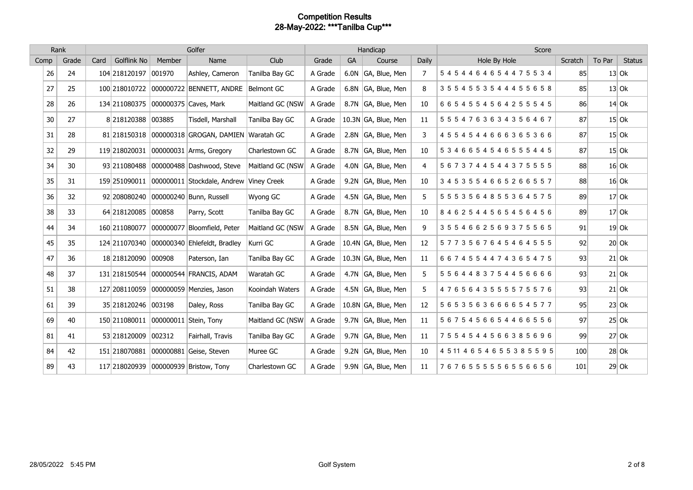|      | Rank<br>Golfer |      |                     |        |                                            | Handicap         |         |           |                     | Score |                                  |         |        |               |
|------|----------------|------|---------------------|--------|--------------------------------------------|------------------|---------|-----------|---------------------|-------|----------------------------------|---------|--------|---------------|
| Comp | Grade          | Card | <b>Golflink No</b>  | Member | Name                                       | Club             | Grade   | <b>GA</b> | Course              | Daily | Hole By Hole                     | Scratch | To Par | <b>Status</b> |
| 26   | 24             |      | 104 218120197       | 001970 | Ashley, Cameron                            | Tanilba Bay GC   | A Grade |           | 6.0N GA, Blue, Men  | 7     | 5454464654475534                 | 85      |        | $13$ Ok       |
| 27   | 25             |      | 100 218010722       |        | 000000722 BENNETT, ANDRE                   | Belmont GC       | A Grade |           | 6.8N GA, Blue, Men  | 8     | 3554553544455658                 | 85      |        | $13$ Ok       |
| 28   | 26             |      | 134 211080375       |        | 000000375 Caves, Mark                      | Maitland GC (NSW | A Grade |           | 8.7N GA, Blue, Men  | 10    | 6654554564255545                 | 86      |        | $14$ Ok       |
| 30   | 27             |      | 8 218120388         | 003885 | Tisdell, Marshall                          | Tanilba Bay GC   | A Grade |           | 10.3N GA, Blue, Men | 11    | 5554763634356467                 | 87      |        | $15$ Ok       |
| 31   | 28             |      | 81 218150318        |        | 000000318 GROGAN, DAMIEN Waratah GC        |                  | A Grade |           | 2.8N GA, Blue, Men  | 3     | 4554544666365366                 | 87      |        | $15$ Ok       |
| 32   | 29             |      | 119 218020031       |        | 000000031 Arms, Gregory                    | Charlestown GC   | A Grade |           | 8.7N GA, Blue, Men  | 10    | 5346654546555445                 | 87      |        | $15$ Ok       |
| 34   | 30             |      | 93 211080488        |        | 000000488 Dashwood, Steve                  | Maitland GC (NSW | A Grade |           | 4.0N GA, Blue, Men  | 4     | 5673744544375555                 | 88      |        | $16$ Ok       |
| 35   | 31             |      | 159 251090011       |        | 000000011 Stockdale, Andrew Viney Creek    |                  | A Grade |           | 9.2N GA, Blue, Men  | 10    | 3453554665266557                 | 88      |        | $16$ Ok       |
| 36   | 32             |      | 92 208080240        |        | 000000240 Bunn, Russell                    | Wyong GC         | A Grade |           | 4.5N GA, Blue, Men  | 5.    | 5 5 5 3 5 6 4 8 5 5 3 6 4 5 7 5  | 89      |        | $17$ Ok       |
| 38   | 33             |      | 64 218120085        | 000858 | Parry, Scott                               | Tanilba Bay GC   | A Grade |           | 8.7N GA, Blue, Men  | 10    | 8462544565456456                 | 89      |        | $17$ Ok       |
| 44   | 34             |      | 160 211080077       |        | 000000077 Bloomfield, Peter                | Maitland GC (NSW | A Grade |           | 8.5N GA, Blue, Men  | 9     | 3554662569375565                 | 91      |        | $19$ Ok       |
| 45   | 35             |      |                     |        | 124 211070340 000000340 Ehlefeldt, Bradley | Kurri GC         | A Grade |           | 10.4N GA, Blue, Men | 12    | 5773567645464555                 | 92      |        | $20$ Ok       |
| 47   | 36             |      | 18 218120090        | 000908 | Paterson, Ian                              | Tanilba Bay GC   | A Grade |           | 10.3N GA, Blue, Men | 11    | 6674554474365475                 | 93      |        | $21$ Ok       |
| 48   | 37             |      | 131 218150544       |        | 000000544 FRANCIS, ADAM                    | Waratah GC       | A Grade |           | 4.7N GA, Blue, Men  | 5     | 5564483754456666                 | 93      |        | $21$ Ok       |
| 51   | 38             |      | 127 208110059       |        | 000000059 Menzies, Jason                   | Kooindah Waters  | A Grade |           | 4.5N GA, Blue, Men  | 5     | 4765643555575576                 | 93      |        | $21$ Ok       |
| 61   | 39             |      | 35 218120246 003198 |        | Daley, Ross                                | Tanilba Bay GC   | A Grade |           | 10.8N GA, Blue, Men | 12    | 5653563666654577                 | 95      |        | $23$ Ok       |
| 69   | 40             |      | 150 211080011       |        | 000000011 Stein, Tony                      | Maitland GC (NSW | A Grade |           | 9.7N GA, Blue, Men  | 11    | 5675456654466556                 | 97      |        | $25$ Ok       |
| 81   | 41             |      | 53 218120009        | 002312 | Fairhall, Travis                           | Tanilba Bay GC   | A Grade |           | 9.7N GA, Blue, Men  | 11    | 7554544566385696                 | 99      |        | $27$ Ok       |
| 84   | 42             |      | 151 218070881       |        | 000000881 Geise, Steven                    | Muree GC         | A Grade |           | 9.2N GA, Blue, Men  | 10    | 4 5 11 4 6 5 4 6 5 5 3 8 5 5 9 5 | 100     |        | $28$ Ok       |
| 89   | 43             |      |                     |        | 117 218020939 000000939 Bristow, Tony      | Charlestown GC   | A Grade |           | 9.9N GA, Blue, Men  | 11    | 7676555556556656                 | 101     |        | $29$ Ok       |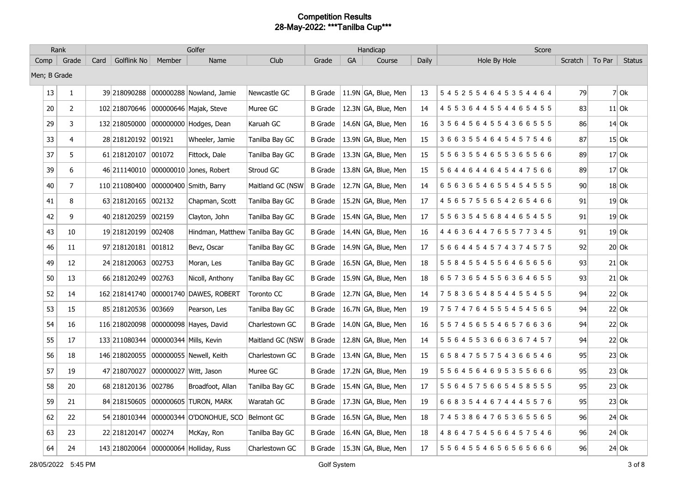|              | Rank           |      |                                      |        | Golfer                                 |                   |                |    | Handicap            |       | Score                           |                 |        |               |
|--------------|----------------|------|--------------------------------------|--------|----------------------------------------|-------------------|----------------|----|---------------------|-------|---------------------------------|-----------------|--------|---------------|
| Comp         | Grade          | Card | Golflink No                          | Member | Name                                   | Club              | Grade          | GA | Course              | Daily | Hole By Hole                    | Scratch         | To Par | <b>Status</b> |
| Men; B Grade |                |      |                                      |        |                                        |                   |                |    |                     |       |                                 |                 |        |               |
| 13           | $\mathbf{1}$   |      | 39 218090288                         |        | 000000288 Nowland, Jamie               | Newcastle GC      | <b>B</b> Grade |    | 11.9N GA, Blue, Men | 13    | 5 4 5 2 5 5 4 6 4 5 3 5 4 4 6 4 | 79              |        | $7$ Ok        |
| 20           | $\overline{2}$ |      | 102 218070646                        |        | 000000646 Majak, Steve                 | Muree GC          | <b>B</b> Grade |    | 12.3N GA, Blue, Men | 14    | 4 5 5 3 6 4 4 5 5 4 4 6 5 4 5 5 | 83              |        | $11$ Ok       |
| 29           | $\mathbf{3}$   |      | 132 218050000                        |        | 000000000 Hodges, Dean                 | Karuah GC         | <b>B</b> Grade |    | 14.6N GA, Blue, Men | 16    | 3564564554366555                | 86              |        | $14$ Ok       |
| 33           | 4              |      | 28 218 120 192                       | 001921 | Wheeler, Jamie                         | Tanilba Bay GC    | <b>B</b> Grade |    | 13.9N GA, Blue, Men | 15    | 3663554645457546                | 87              |        | $15$ Ok       |
| 37           | 5              |      | 61 218120107                         | 001072 | Fittock, Dale                          | Tanilba Bay GC    | <b>B</b> Grade |    | 13.3N GA, Blue, Men | 15    | 5 5 6 3 5 5 4 6 5 5 3 6 5 5 6 6 | 89              |        | $17$ Ok       |
| 39           | 6              |      |                                      |        | 46 211140010 000000010 Jones, Robert   | Stroud GC         | <b>B</b> Grade |    | 13.8N GA, Blue, Men | 15    | 5 6 4 4 6 4 4 6 4 5 4 4 7 5 6 6 | 89              |        | $17$ Ok       |
| 40           | $\overline{7}$ |      | 110 211080400                        |        | 000000400 Smith, Barry                 | Maitland GC (NSW  | <b>B</b> Grade |    | 12.7N GA, Blue, Men | 14    | 6563654655454555                | 90 <sup>°</sup> |        | $18$ Ok       |
| 41           | 8              |      | 63 218120165                         | 002132 | Chapman, Scott                         | Tanilba Bay GC    | <b>B</b> Grade |    | 15.2N GA, Blue, Men | 17    | 4 5 6 5 7 5 5 6 5 4 2 6 5 4 6 6 | 91              |        | $19$ Ok       |
| 42           | 9              |      | 40 218120259                         | 002159 | Clayton, John                          | Tanilba Bay GC    | <b>B</b> Grade |    | 15.4N GA, Blue, Men | 17    | 5 5 6 3 5 4 5 6 8 4 4 6 5 4 5 5 | 91              |        | $19$ Ok       |
| 43           | 10             |      | 19 218120199                         | 002408 | Hindman, Matthew Tanilba Bay GC        |                   | <b>B</b> Grade |    | 14.4N GA, Blue, Men | 16    | 4 4 6 3 6 4 4 7 6 5 5 7 7 3 4 5 | 91              |        | $19$ Ok       |
| 46           | 11             |      | 97 218120181 001812                  |        | Bevz, Oscar                            | Tanilba Bay GC    | <b>B</b> Grade |    | 14.9N GA, Blue, Men | 17    | 5 6 6 4 4 5 4 5 7 4 3 7 4 5 7 5 | 92              |        | $20$ Ok       |
| 49           | 12             |      | 24 218120063 002753                  |        | Moran, Les                             | Tanilba Bay GC    | <b>B</b> Grade |    | 16.5N GA, Blue, Men | 18    | 5 5 8 4 5 5 4 5 5 6 4 6 5 6 5 6 | 93              |        | $21$ Ok       |
| 50           | 13             |      | 66 218120249                         | 002763 | Nicoll, Anthony                        | Tanilba Bay GC    | <b>B</b> Grade |    | 15.9N GA, Blue, Men | 18    | 6573654556364655                | 93              |        | $21$ Ok       |
| 52           | 14             |      | 162 218 141740                       |        | 000001740 DAWES, ROBERT                | <b>Toronto CC</b> | <b>B</b> Grade |    | 12.7N GA, Blue, Men | -14   | 7583654854455455                | 94              |        | $22$ Ok       |
| 53           | 15             |      | 85 218120536                         | 003669 | Pearson, Les                           | Tanilba Bay GC    | <b>B</b> Grade |    | 16.7N GA, Blue, Men | 19    | 7574764555454565                | 94              |        | $22$ Ok       |
| 54           | 16             |      |                                      |        | 116 218020098 000000098 Hayes, David   | Charlestown GC    | <b>B</b> Grade |    | 14.0N GA, Blue, Men | 16    | 5574565546576636                | 94              |        | $22$ Ok       |
| 55           | 17             |      | 133 211080344 000000344 Mills, Kevin |        |                                        | Maitland GC (NSW  | <b>B</b> Grade |    | 12.8N GA, Blue, Men | -14   | 5564553666367457                | 94              |        | $22$ Ok       |
| 56           | 18             |      | 146 218020055                        |        | 000000055   Newell, Keith              | Charlestown GC    | <b>B</b> Grade |    | 13.4N GA, Blue, Men | 15    | 6584755754366546                | 95              |        | $23$ Ok       |
| 57           | 19             |      | 47 218070027                         |        | 000000027 Witt, Jason                  | Muree GC          | <b>B</b> Grade |    | 17.2N GA, Blue, Men | 19    | 5564564695355666                | 95              |        | $23$ Ok       |
| 58           | 20             |      | 68 218120136                         | 002786 | Broadfoot, Allan                       | Tanilba Bay GC    | <b>B</b> Grade |    | 15.4N GA, Blue, Men | 17    | 5 5 6 4 5 7 5 6 6 5 4 5 8 5 5 5 | 95              |        | $23$ Ok       |
| 59           | 21             |      | 84 218150605                         |        | 000000605 TURON, MARK                  | Waratah GC        | <b>B</b> Grade |    | 17.3N GA, Blue, Men | 19    | 6 6 8 3 5 4 4 6 7 4 4 4 5 5 7 6 | 95              |        | $23$ Ok       |
| 62           | 22             |      | 54 218010344                         |        | 000000344 O'DONOHUE, SCO               | Belmont GC        | <b>B</b> Grade |    | 16.5N GA, Blue, Men | 18    | 7453864765365565                | 96              |        | $24$ Ok       |
| 63           | 23             |      | 22 218 120 147                       | 000274 | McKay, Ron                             | Tanilba Bay GC    | <b>B</b> Grade |    | 16.4N GA, Blue, Men | 18    | 4864754566457546                | 96              |        | $24$ Ok       |
| 64           | 24             |      |                                      |        | 143 218020064 000000064 Holliday, Russ | Charlestown GC    | <b>B</b> Grade |    | 15.3N GA, Blue, Men | 17    | 5564554656565666                | 96              |        | $24$ Ok       |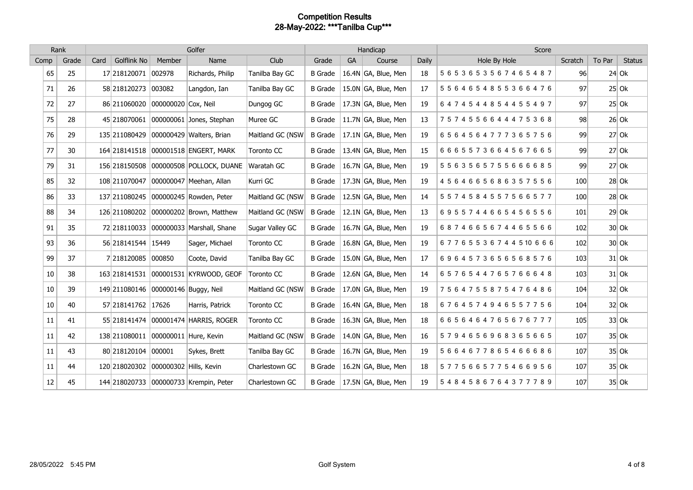|      | Golfer<br>Rank |      |                                      |                     |                                        | Handicap         |                |    |                                   | Score |                   |         |        |               |
|------|----------------|------|--------------------------------------|---------------------|----------------------------------------|------------------|----------------|----|-----------------------------------|-------|-------------------|---------|--------|---------------|
| Comp | Grade          | Card | <b>Golflink No</b>                   | Member              | Name                                   | Club             | Grade          | GA | Course                            | Daily | Hole By Hole      | Scratch | To Par | <b>Status</b> |
| 65   | 25             |      | 17 218120071                         | 002978              | Richards, Philip                       | Tanilba Bay GC   | <b>B</b> Grade |    | 16.4N GA, Blue, Men               | 18    | 5653653567465487  | 96      |        | $24$ Ok       |
| 71   | 26             |      | 58 218120273                         | 003082              | Langdon, Ian                           | Tanilba Bay GC   | B Grade        |    | 15.0N GA, Blue, Men               | 17    | 5564654855366476  | 97      |        | $25$ Ok       |
| 72   | 27             |      | 86 211060020                         | 000000020 Cox, Neil |                                        | Dungog GC        | <b>B</b> Grade |    | 17.3N GA, Blue, Men               | 19    | 6474544854455497  | 97      |        | $25$ Ok       |
| 75   | 28             |      | 45 218070061                         |                     | 000000061 Jones, Stephan               | Muree GC         | <b>B</b> Grade |    | 11.7N $\overline{GA}$ , Blue, Men | 13    | 7574556644475368  | 98      |        | $26$ Ok       |
| 76   | 29             |      | 135 211080429                        |                     | 000000429 Walters, Brian               | Maitland GC (NSW | <b>B</b> Grade |    | $17.1N$ GA, Blue, Men             | 19    | 6564564777365756  | 99      |        | $27$ Ok       |
| 77   | 30             |      |                                      |                     | 164 218141518 000001518 ENGERT, MARK   | Toronto CC       | <b>B</b> Grade |    | 13.4N GA, Blue, Men               | 15    | 6665573664567665  | 99      |        | $27$ Ok       |
| 79   | 31             |      | 156 218150508                        |                     | 000000508 POLLOCK, DUANE               | Waratah GC       | <b>B</b> Grade |    | 16.7N GA, Blue, Men               | 19    | 5563565755666685  | 99      |        | $27$ Ok       |
| 85   | 32             |      | 108 211070047                        |                     | 000000047 Meehan, Allan                | Kurri GC         | <b>B</b> Grade |    | 17.3N GA, Blue, Men               | 19    | 4564665686357556  | 100     |        | $28$ Ok       |
| 86   | 33             |      |                                      |                     | 137 211080245 000000245 Rowden, Peter  | Maitland GC (NSW | <b>B</b> Grade |    | 12.5N GA, Blue, Men               | 14    | 5574584557566577  | 100     |        | $28$ Ok       |
| 88   | 34             |      | 126 211080202                        |                     | 000000202 Brown, Matthew               | Maitland GC (NSW | <b>B</b> Grade |    | $12.1N$ GA, Blue, Men             | 13    | 6955744665456556  | 101     |        | $29$ Ok       |
| 91   | 35             |      | 72 218110033                         |                     | 000000033 Marshall, Shane              | Sugar Valley GC  | <b>B</b> Grade |    | 16.7N GA, Blue, Men               | 19    | 6874665674465566  | 102     |        | $30$ Ok       |
| 93   | 36             |      | 56 218141544 15449                   |                     | Sager, Michael                         | Toronto CC       | <b>B</b> Grade |    | 16.8N GA, Blue, Men               | 19    | 67765536744510666 | 102     |        | $30$ Ok       |
| 99   | 37             |      | 7 218120085                          | 000850              | Coote, David                           | Tanilba Bay GC   | <b>B</b> Grade |    | 15.0N GA, Blue, Men               | 17    | 6964573656568576  | 103     |        | $31$ Ok       |
| 10   | 38             |      |                                      |                     | 163 218141531 000001531 KYRWOOD, GEOF  | Toronto CC       | <b>B</b> Grade |    | 12.6N GA, Blue, Men               | 14    | 6576544765766648  | 103     |        | $31$ Ok       |
| 10   | 39             |      | 149 211080146 000000146 Buggy, Neil  |                     |                                        | Maitland GC (NSW | <b>B</b> Grade |    | 17.0N GA, Blue, Men               | 19    | 7564755875476486  | 104     |        | $32$ Ok       |
| 10   | 40             |      | 57 218141762                         | 17626               | Harris, Patrick                        | Toronto CC       | <b>B</b> Grade |    | 16.4N GA, Blue, Men               | 18    | 6764574946557756  | 104     |        | $32$ Ok       |
| 11   | 41             |      | 55 218141474                         |                     | 000001474 HARRIS, ROGER                | Toronto CC       | <b>B</b> Grade |    | 16.3N GA, Blue, Men               | 18    | 6656464765676777  | 105     |        | $33$ Ok       |
| 11   | 42             |      | 138 211080011                        |                     | 000000011 Hure, Kevin                  | Maitland GC (NSW | <b>B</b> Grade |    | 14.0N GA, Blue, Men               | 16    | 5794656968365665  | 107     |        | $35$ Ok       |
| 11   | 43             |      | 80 218120104                         | 000001              | Sykes, Brett                           | Tanilba Bay GC   | <b>B</b> Grade |    | 16.7N GA, Blue, Men               | 19    | 5664677865466686  | 107     |        | $35$ Ok       |
| 11   | 44             |      | 120 218020302 000000302 Hills, Kevin |                     |                                        | Charlestown GC   | <b>B</b> Grade |    | 16.2N GA, Blue, Men               | 18    | 5775665775466956  | 107     |        | $35$ Ok       |
| 12   | 45             |      |                                      |                     | 144 218020733 000000733 Krempin, Peter | Charlestown GC   | <b>B</b> Grade |    | 17.5N GA, Blue, Men               | 19    | 5484586764377789  | 107     |        | $35$ Ok       |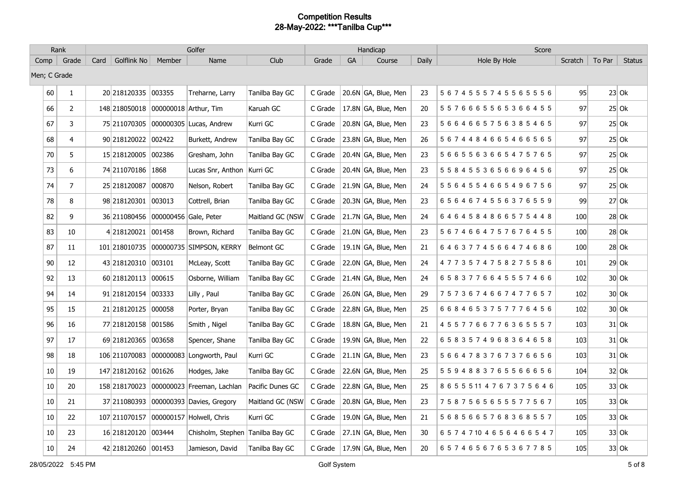|              | Rank           |      |                     |                       | Golfer                                 |                   |         |    | Handicap              |       | Score                            |         |        |               |
|--------------|----------------|------|---------------------|-----------------------|----------------------------------------|-------------------|---------|----|-----------------------|-------|----------------------------------|---------|--------|---------------|
| Comp         | $\vert$ Grade  | Card | Golflink No         | Member                | Name                                   | Club              | Grade   | GA | Course                | Daily | Hole By Hole                     | Scratch | To Par | <b>Status</b> |
| Men; C Grade |                |      |                     |                       |                                        |                   |         |    |                       |       |                                  |         |        |               |
| 60           | $\mathbf{1}$   |      | 20 218120335 003355 |                       | Treharne, Larry                        | Tanilba Bay GC    | C Grade |    | 20.6N GA, Blue, Men   | 23    | 5674555745565556                 | 95      |        | $23$ Ok       |
| 66           | $\overline{2}$ |      | 148 218050018       |                       | 000000018 Arthur, Tim                  | Karuah GC         | C Grade |    | 17.8N GA, Blue, Men   | 20    | 5576665565366455                 | 97      |        | $25$ Ok       |
| 67           | 3              |      | 75 211070305        |                       | 000000305 Lucas, Andrew                | Kurri GC          | C Grade |    | 20.8N GA, Blue, Men   | 23    | 5664665756385465                 | 97      |        | $25$ Ok       |
| 68           | 4              |      | 90 218120022        | 002422                | Burkett, Andrew                        | Tanilba Bay GC    | C Grade |    | 23.8N GA, Blue, Men   | 26    | 5674484665466565                 | 97      |        | $25$ Ok       |
| 70           | 5              |      | 15 218120005        | 002386                | Gresham, John                          | Tanilba Bay GC    | C Grade |    | 20.4N GA, Blue, Men   | 23    | 5665563665475765                 | 97      |        | $25$ Ok       |
| 73           | 6              |      | 74 211070186 1868   |                       | Lucas Snr, Anthon   Kurri GC           |                   | C Grade |    | 20.4N GA, Blue, Men   | 23    | 5 5 8 4 5 5 3 6 5 6 6 9 6 4 5 6  | 97      |        | $25$ Ok       |
| 74           | $\overline{7}$ |      | 25 218120087        | 000870                | Nelson, Robert                         | Tanilba Bay GC    | C Grade |    | 21.9N GA, Blue, Men   | 24    | 5 5 6 4 5 5 4 6 6 5 4 9 6 7 5 6  | 97      |        | $25$ Ok       |
| 78           | 8              |      | 98 218120301        | 003013                | Cottrell, Brian                        | Tanilba Bay GC    | C Grade |    | 20.3N GA, Blue, Men   | 23    | 6564674556376559                 | 99      |        | $27$ Ok       |
| 82           | 9              |      | 36 211080456        | 000000456 Gale, Peter |                                        | Maitland GC (NSW  | C Grade |    | $21.7N$ GA, Blue, Men | 24    | 6464584866575448                 | 100     |        | $28$ Ok       |
| 83           | $10\,$         |      | 4218120021          | 001458                | Brown, Richard                         | Tanilba Bay GC    | C Grade |    | 21.0N GA, Blue, Men   | 23    | 5 6 7 4 6 6 4 7 5 7 6 7 6 4 5 5  | 100     |        | $28$ Ok       |
| 87           | 11             |      |                     |                       | 101 218010735 000000735 SIMPSON, KERRY | <b>Belmont GC</b> | C Grade |    | 19.1N GA, Blue, Men   | 21    | 6463774566474686                 | 100     |        | $28$ Ok       |
| 90           | 12             |      | 43 218120310 003101 |                       | McLeay, Scott                          | Tanilba Bay GC    | C Grade |    | 22.0N GA, Blue, Men   | 24    | 4773574758275586                 | 101     |        | $29$ Ok       |
| 92           | 13             |      | 60 218 120 113      | 000615                | Osborne, William                       | Tanilba Bay GC    | C Grade |    | 21.4N GA, Blue, Men   | 24    | 6583776645557466                 | 102     |        | $30$ Ok       |
| 94           | 14             |      | 91 218120154 003333 |                       | Lilly, Paul                            | Tanilba Bay GC    | C Grade |    | 26.0N GA, Blue, Men   | 29    | 7573674667477657                 | 102     |        | $30$ Ok       |
| 95           | 15             |      | 21 218120125        | 000058                | Porter, Bryan                          | Tanilba Bay GC    | C Grade |    | 22.8N GA, Blue, Men   | 25    | 6684653757776456                 | 102     |        | $30$ Ok       |
| 96           | 16             |      | 77 218120158 001586 |                       | Smith, Nigel                           | Tanilba Bay GC    | C Grade |    | 18.8N GA, Blue, Men   | 21    | 4557766776365557                 | 103     |        | $31$ Ok       |
| 97           | 17             |      | 69 218120365        | 003658                | Spencer, Shane                         | Tanilba Bay GC    | C Grade |    | 19.9N GA, Blue, Men   | 22    | 6583574968364658                 | 103     |        | $31$ Ok       |
| 98           | 18             |      | 106 211070083       |                       | 000000083 Longworth, Paul              | Kurri GC          | C Grade |    | 21.1N GA, Blue, Men   | 23    | 5664783767376656                 | 103     |        | $31$ Ok       |
| 10           | 19             |      | 147 218120162       | 001626                | Hodges, Jake                           | Tanilba Bay GC    | C Grade |    | 22.6N GA, Blue, Men   | 25    | 5 5 9 4 8 8 3 7 6 5 5 6 6 6 5 6  | 104     |        | $32$ Ok       |
| 10           | 20             |      | 158 218170023       |                       | 000000023 Freeman, Lachlan             | Pacific Dunes GC  | C Grade |    | 22.8N GA, Blue, Men   | 25    | 8 6 5 5 5 11 4 7 6 7 3 7 5 6 4 6 | 105     |        | $33$ Ok       |
| 10           | 21             |      |                     |                       | 37 211080393 000000393 Davies, Gregory | Maitland GC (NSW  | C Grade |    | 20.8N GA, Blue, Men   | 23    | 7587565655577567                 | 105     |        | $33$ Ok       |
| 10           | 22             |      | 107 211070157       |                       | 000000157 Holwell, Chris               | Kurri GC          | C Grade |    | 19.0N GA, Blue, Men   | 21    | 5685665768368557                 | 105     |        | $33$ Ok       |
| 10           | 23             |      | 16 218120120        | 003444                | Chisholm, Stephen Tanilba Bay GC       |                   | C Grade |    | 27.1N GA, Blue, Men   | 30    | 6 5 7 4 7 10 4 6 5 6 4 6 6 5 4 7 | 105     |        | $33$ Ok       |
| 10           | 24             |      | 42 218120260 001453 |                       | Jamieson, David                        | Tanilba Bay GC    | C Grade |    | 17.9N GA, Blue, Men   | 20    | 6574656765367785                 | 105     |        | $33$ Ok       |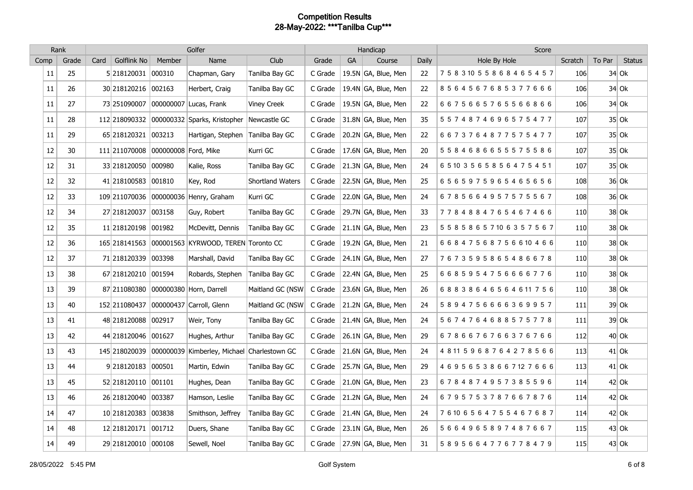|        | Rank  |      |                                    |        | Golfer                                            |                    |         |    | Handicap                          |       | Score                            |         |        |               |
|--------|-------|------|------------------------------------|--------|---------------------------------------------------|--------------------|---------|----|-----------------------------------|-------|----------------------------------|---------|--------|---------------|
| Comp   | Grade | Card | Golflink No                        | Member | Name                                              | <b>Club</b>        | Grade   | GA | Course                            | Daily | Hole By Hole                     | Scratch | To Par | <b>Status</b> |
| 11     | 25    |      | 5 218120031 000310                 |        | Chapman, Gary                                     | Tanilba Bay GC     | C Grade |    | 19.5N GA, Blue, Men               | 22    | 75831055868465457                | 106     |        | $34$ Ok       |
| $11\,$ | 26    |      | 30 218120216 002163                |        | Herbert, Craig                                    | Tanilba Bay GC     | C Grade |    | 19.4N GA, Blue, Men               | 22    | 8564567685377666                 | 106     |        | $34$ Ok       |
| $11\,$ | 27    |      | 73 251090007                       |        | 000000007 Lucas, Frank                            | <b>Viney Creek</b> | C Grade |    | 19.5N GA, Blue, Men               | 22    | 6675665765566866                 | 106     |        | $34$ Ok       |
| 11     | 28    |      |                                    |        | 112 218090332 000000332 Sparks, Kristopher        | Newcastle GC       | C Grade |    | 31.8N GA, Blue, Men               | 35    | 5574874696575477                 | 107     |        | $35$ Ok       |
| $11\,$ | 29    |      | 65 218120321 003213                |        | Hartigan, Stephen                                 | Tanilba Bay GC     | C Grade |    | 20.2N GA, Blue, Men               | 22    | 6673764877575477                 | 107     |        | $35$ Ok       |
| 12     | 30    |      | 111 211070008 000000008 Ford, Mike |        |                                                   | Kurri GC           | C Grade |    | $ 17.6N GA$ , Blue, Men           | 20    | 5 5 8 4 6 8 6 6 5 5 5 7 5 5 8 6  | 107     |        | $35$ Ok       |
| $12\,$ | 31    |      | 33 218120050 000980                |        | Kalie, Ross                                       | Tanilba Bay GC     | C Grade |    | 21.3N GA, Blue, Men               | 24    | 6 5 10 3 5 6 5 8 5 6 4 7 5 4 5 1 | 107     |        | $35$ Ok       |
| $12\,$ | 32    |      | 41 218100583 001810                |        | Key, Rod                                          | Shortland Waters   | C Grade |    | 22.5N GA, Blue, Men               | 25    | 6565975965465656                 | 108     |        | $36$ Ok       |
| 12     | 33    |      |                                    |        | 109 211070036 000000036 Henry, Graham             | Kurri GC           | C Grade |    | 22.0N GA, Blue, Men               | 24    | 6785664957575567                 | 108     |        | $36$ Ok       |
| 12     | 34    |      | 27 218120037 003158                |        | Guy, Robert                                       | Tanilba Bay GC     | C Grade |    | 29.7N GA, Blue, Men               | 33    | 7784884765467466                 | 110     |        | $38$ Ok       |
| 12     | 35    |      | 11 218120198 001982                |        | McDevitt, Dennis                                  | Tanilba Bay GC     | C Grade |    | $21.1N$ GA, Blue, Men             | 23    | 5 5 8 5 8 6 5 7 10 6 3 5 7 5 6 7 | 110     |        | $38$ Ok       |
| 12     | 36    |      |                                    |        | 165 218141563 000001563 KYRWOOD, TEREN Toronto CC |                    | C Grade |    | $ 19.2N GA$ , Blue, Men           | 21    | 66847568756610466                | 110     |        | $38$ Ok       |
| $12\,$ | 37    |      | 71 218120339 003398                |        | Marshall, David                                   | Tanilba Bay GC     | C Grade |    | 24.1N $\overline{GA}$ , Blue, Men | 27    | 7673595865486678                 | 110     |        | $38$ Ok       |
| 13     | 38    |      | 67 218120210 001594                |        | Robards, Stephen                                  | Tanilba Bay GC     | C Grade |    | 22.4N GA, Blue, Men               | 25    | 6685954756666776                 | 110     |        | $38$ Ok       |
| 13     | 39    |      |                                    |        | 87 211080380 000000380 Horn, Darrell              | Maitland GC (NSW   | C Grade |    | 23.6N GA, Blue, Men               | 26    | 68838646564611756                | 110     |        | $38$ Ok       |
| 13     | 40    |      | 152 211080437                      |        | 000000437 Carroll, Glenn                          | Maitland GC (NSW   | C Grade |    | 21.2N GA, Blue, Men               | 24    | 5894756666369957                 | 111     |        | $39$ Ok       |
| 13     | 41    |      | 48 218120088 002917                |        | Weir, Tony                                        | Tanilba Bay GC     | C Grade |    | $21.4N$ GA, Blue, Men             | 24    | 5674764688575778                 | 111     |        | $39$ Ok       |
| 13     | 42    |      | 44 218120046 001627                |        | Hughes, Arthur                                    | Tanilba Bay GC     | C Grade |    | $26.1N$ GA, Blue, Men             | 29    | 6786676766376766                 | 112     |        | $40$ Ok       |
| 13     | 43    |      | 145 218020039                      |        | 000000039 Kimberley, Michael Charlestown GC       |                    | C Grade |    | 21.6N GA, Blue, Men               | 24    | 48115968764278566                | 113     |        | $41$ Ok       |
| 13     | 44    |      | 9 218120183 000501                 |        | Martin, Edwin                                     | Tanilba Bay GC     | C Grade |    | 25.7N GA, Blue, Men               | 29    | 4 6 9 5 6 5 3 8 6 6 7 12 7 6 6 6 | 113     |        | $41$ Ok       |
| 13     | 45    |      | 52 218120110 001101                |        | Hughes, Dean                                      | Tanilba Bay GC     | C Grade |    | $21.0N$ GA, Blue, Men             | 23    | 6784874957385596                 | 114     |        | $42$ Ok       |
| 13     | 46    |      | 26 218120040 003387                |        | Hamson, Leslie                                    | Tanilba Bay GC     | C Grade |    | 21.2N GA, Blue, Men               | 24    | 6795753787667876                 | 114     |        | $42$ Ok       |
| 14     | 47    |      | 10 218120383 003838                |        | Smithson, Jeffrey                                 | Tanilba Bay GC     | C Grade |    | $21.4N$ GA, Blue, Men             | 24    | 76106564755467687                | 114     |        | $42$ Ok       |
| 14     | 48    |      | 12 218120171 001712                |        | Duers, Shane                                      | Tanilba Bay GC     | C Grade |    | 23.1N GA, Blue, Men               | 26    | 5664965897487667                 | 115     |        | $43$ Ok       |
| 14     | 49    |      | 29 218120010 000108                |        | Sewell, Noel                                      | Tanilba Bay GC     | C Grade |    | $ 27.9N GA$ , Blue, Men           | 31    | 5895664776778479                 | 115     |        | $43$ Ok       |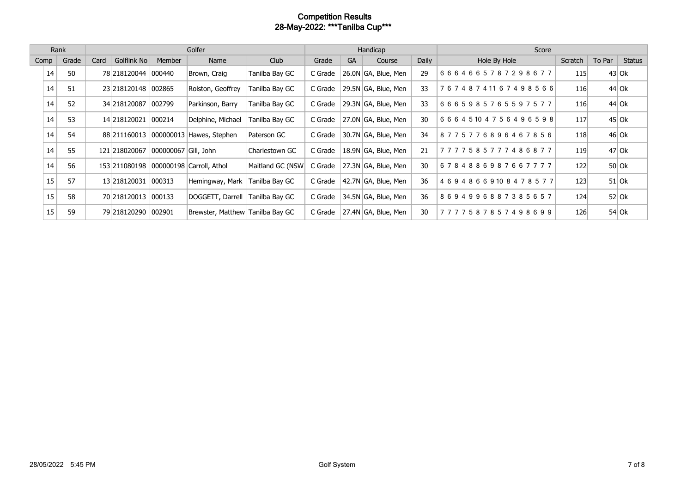|      | Rank |       |      | Golfer               |                      |                                  |                  |         |           | Handicap              |       | Score             |         |        |               |  |
|------|------|-------|------|----------------------|----------------------|----------------------------------|------------------|---------|-----------|-----------------------|-------|-------------------|---------|--------|---------------|--|
| Comp |      | Grade | Card | Golflink No          | Member               | Name                             | Club             | Grade   | <b>GA</b> | Course                | Daily | Hole By Hole      | Scratch | To Par | <b>Status</b> |  |
|      | 14   | 50    |      | 78 218 120044        | 000440               | Brown, Craig                     | Tanilba Bay GC   | C Grade |           | 26.0N GA, Blue, Men   | 29    | 6664665787298677  | 115     |        | $43$ Ok       |  |
|      | 14   | 51    |      | 23 218 120148 002865 |                      | Rolston, Geoffrey                | Tanilba Bay GC   | C Grade |           | 29.5N GA, Blue, Men   | 33    | 76748741167498566 | 116     |        | 44 Ok         |  |
|      | 14   | 52    |      | 34 218120087         | 002799               | Parkinson, Barry                 | Tanilba Bay GC   | C Grade |           | 29.3N GA, Blue, Men   | 33    | 6665985765597577  | 116     |        | 44 Ok         |  |
|      | 14   | 53    |      | 14 218 1200 21       | 000214               | Delphine, Michael                | Tanilba Bay GC   | C Grade |           | 27.0N GA, Blue, Men   | 30    | 66645104756496598 | 117     |        | $45$ Ok       |  |
|      | 14   | 54    |      | 88 211160013         |                      | 000000013 Hawes, Stephen         | Paterson GC      | C Grade |           | 30.7N GA, Blue, Men   | 34    | 8775776896467856  | 118     |        | 46 Ok         |  |
|      | 14   | 55    |      | 121 218020067        | 000000067 Gill, John |                                  | Charlestown GC   | C Grade |           | 18.9N GA, Blue, Men   | 21    | 7777585777486877  | 119     |        | 47 Ok         |  |
|      | 14   | 56    |      | 153 211080198        |                      | 000000198 Carroll, Athol         | Maitland GC (NSW | C Grade |           | 27.3N GA, Blue, Men   | 30    | 6784886987667777  | 122     |        | $50$ Ok       |  |
|      | 15   | 57    |      | 13 218 1200 31       | 000313               | Hemingway, Mark                  | Tanilba Bay GC   | C Grade |           | 42.7N GA, Blue, Men   | 36    | 46948669108478577 | 123     |        | $51$ Ok       |  |
|      | 15   | 58    |      | 70 218120013         | 000133               | DOGGETT, Darrell                 | Tanilba Bay GC   | C Grade |           | 34.5N GA, Blue, Men   | 36    | 8694996887385657  | 124     |        | $52$ Ok       |  |
|      | 15   | 59    |      | 79 218120290         | 002901               | Brewster, Matthew Tanilba Bay GC |                  | C Grade |           | $27.4N$ GA, Blue, Men | 30    | 7777587857498699  | 126     |        | $54$ Ok       |  |